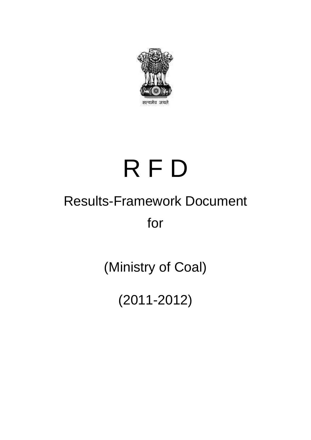

# Results-Framework Document for R F D

(Ministry of Coal)

(2011-2012)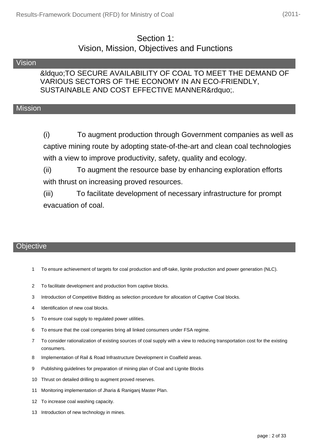#### Vision

## &Idquo; TO SECURE AVAILABILITY OF COAL TO MEET THE DEMAND OF VARIOUS SECTORS OF THE ECONOMY IN AN ECO-FRIENDLY, SUSTAINABLE AND COST EFFECTIVE MANNER".

#### **Mission**

(i) To augment production through Government companies as well as captive mining route by adopting state-of-the-art and clean coal technologies with a view to improve productivity, safety, quality and ecology.

(ii) To augment the resource base by enhancing exploration efforts with thrust on increasing proved resources.

(iii) To facilitate development of necessary infrastructure for prompt evacuation of coal.

#### **Objective**

- 1 To ensure achievement of targets for coal production and off-take, lignite production and power generation (NLC).
- 2 To facilitate development and production from captive blocks.
- 3 Introduction of Competitive Bidding as selection procedure for allocation of Captive Coal blocks.
- 4 Identification of new coal blocks.
- 5 To ensure coal supply to regulated power utilities.
- 6 To ensure that the coal companies bring all linked consumers under FSA regime.
- 7 To consider rationalization of existing sources of coal supply with a view to reducing transportation cost for the existing consumers.
- 8 Implementation of Rail & Road Infrastructure Development in Coalfield areas.
- 9 Publishing guidelines for preparation of mining plan of Coal and Lignite Blocks
- 10 Thrust on detailed drilling to augment proved reserves.
- 11 Monitoring implementation of Jharia & Raniganj Master Plan.
- 12 To increase coal washing capacity.
- 13 Introduction of new technology in mines.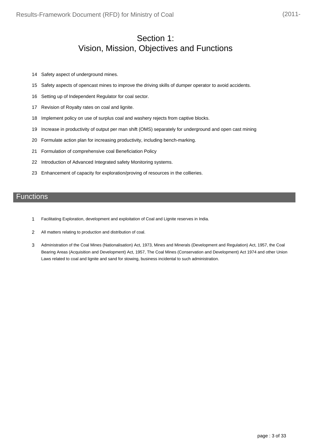# Section 1: Vision, Mission, Objectives and Functions

- Safety aspect of underground mines.
- Safety aspects of opencast mines to improve the driving skills of dumper operator to avoid accidents.
- Setting up of Independent Regulator for coal sector.
- Revision of Royalty rates on coal and lignite.
- Implement policy on use of surplus coal and washery rejects from captive blocks.
- Increase in productivity of output per man shift (OMS) separately for underground and open cast mining
- Formulate action plan for increasing productivity, including bench-marking.
- Formulation of comprehensive coal Beneficiation Policy
- Introduction of Advanced Integrated safety Monitoring systems.
- Enhancement of capacity for exploration/proving of resources in the collieries.

#### **Functions**

- Facilitating Exploration, development and exploitation of Coal and Lignite reserves in India.
- All matters relating to production and distribution of coal.
- Administration of the Coal Mines (Nationalisation) Act, 1973, Mines and Minerals (Development and Regulation) Act, 1957, the Coal Bearing Areas (Acquisition and Development) Act, 1957, The Coal Mines (Conservation and Development) Act 1974 and other Union Laws related to coal and lignite and sand for stowing, business incidental to such administration.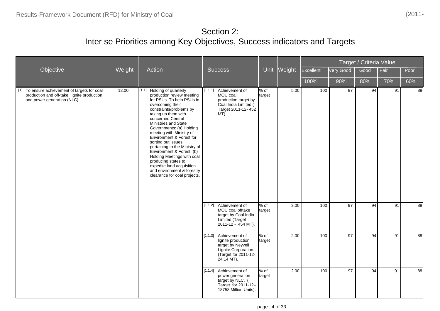|                                                                                                                             |        |                                                                                                                                                                                                                                                                                                                                                                                                                                                                                                                                    |                                                                                                                                 |                   |               |           |                  | Target / Criteria Value |      |      |
|-----------------------------------------------------------------------------------------------------------------------------|--------|------------------------------------------------------------------------------------------------------------------------------------------------------------------------------------------------------------------------------------------------------------------------------------------------------------------------------------------------------------------------------------------------------------------------------------------------------------------------------------------------------------------------------------|---------------------------------------------------------------------------------------------------------------------------------|-------------------|---------------|-----------|------------------|-------------------------|------|------|
| Objective                                                                                                                   | Weight | Action                                                                                                                                                                                                                                                                                                                                                                                                                                                                                                                             | <b>Success</b>                                                                                                                  | Unit              | <b>Weight</b> | Excellent | <b>Very Good</b> | Good                    | Fair | Poor |
|                                                                                                                             |        |                                                                                                                                                                                                                                                                                                                                                                                                                                                                                                                                    |                                                                                                                                 |                   |               | 100%      | 90%              | 80%                     | 70%  | 60%  |
| [1] To ensure achievement of targets for coal<br>production and off-take, lignite production<br>and power generation (NLC). | 12.00  | Holding of quarterly<br>[1.1]<br>production review meeting<br>for PSUs. To help PSUs in<br>overcoming their<br>constraints/problems by<br>taking up them with<br>concerned Central<br>Ministries and State<br>Governments: (a) Holding<br>meeting with Ministry of<br>Environment & Forest for<br>sorting out issues<br>pertaining to the Ministry of<br>Environment & Forest. (b)<br>Holding Meetings with coal<br>producing states to<br>expedite land acquisition<br>and environment & forestry<br>clearance for coal projects. | [1.1.1] Achievement of<br>MOU coal<br>production target by<br>Coal India Limited (<br>Target 2011-12-452<br>MT)                 | $\%$ of<br>target | 5.00          | 100       | 97               | 94                      | 91   | 88   |
|                                                                                                                             |        |                                                                                                                                                                                                                                                                                                                                                                                                                                                                                                                                    | [1.1.2] Achievement of<br>MOU coal offtake<br>target by Coal India<br>Limited (Target<br>2011-12 - 454 MT).                     | $\%$ of<br>target | 3.00          | 100       | 97               | 94                      | 91   | 88   |
|                                                                                                                             |        |                                                                                                                                                                                                                                                                                                                                                                                                                                                                                                                                    | [1.1.3] Achievement of<br>lignite production<br>target by Neyveli<br>Lignite Corporation.<br>(Target for 2011-12-<br>24.14 MT). | $%$ of<br>target  | 2.00          | 100       | 97               | 94                      | 91   | 88   |
|                                                                                                                             |        |                                                                                                                                                                                                                                                                                                                                                                                                                                                                                                                                    | [1.1.4] Achievement of<br>power generation<br>target by NLC. (<br>Target for 2011-12-<br>18758 Million Units).                  | $\%$ of<br>target | 2.00          | 100       | 97               | 94                      | 91   | 88   |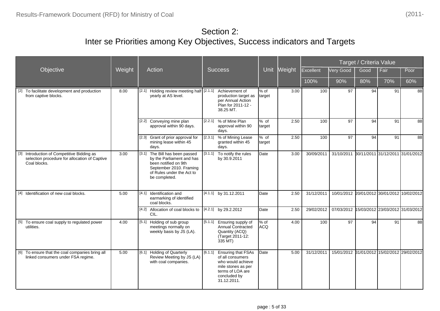|                                                                                                             |        |                                                                                                                                                                 |         |                                                                                                                                      |                            |               |            |                                             | Target / Criteria Value |      |                                  |
|-------------------------------------------------------------------------------------------------------------|--------|-----------------------------------------------------------------------------------------------------------------------------------------------------------------|---------|--------------------------------------------------------------------------------------------------------------------------------------|----------------------------|---------------|------------|---------------------------------------------|-------------------------|------|----------------------------------|
| Objective                                                                                                   | Weight | Action                                                                                                                                                          |         | <b>Success</b>                                                                                                                       | Unit                       | <b>Weight</b> | Excellent  | <b>Very Good</b>                            | Good                    | Fair | Poor                             |
|                                                                                                             |        |                                                                                                                                                                 |         |                                                                                                                                      |                            |               | 100%       | 90%                                         | 80%                     | 70%  | 60%                              |
| [2] To facilitate development and production<br>from captive blocks.                                        | 8.00   | Holding review meeting half [2.1.1] Achievement of<br>[2.1]<br>yearly at AS level.                                                                              |         | production target as<br>per Annual Action<br>Plan for 2011-12 -<br>38.25 MT.                                                         | % of<br>target             | 3.00          | 100        | 97                                          | 94                      | 91   | 88                               |
|                                                                                                             |        | [2.2] Conveying mine plan<br>approval within 90 days.                                                                                                           |         | $[2.2.1]$ % of Mine Plan<br>approval within 90<br>days.                                                                              | % of<br>target             | 2.50          | 100        | 97                                          | 94                      | 91   | 88                               |
|                                                                                                             |        | [2.3] Grant of prior approval for<br>mining lease within 45<br>days.                                                                                            |         | [2.3.1] % of Mining Lease<br>granted within 45<br>days.                                                                              | $\frac{8}{6}$ of<br>target | 2.50          | 100        | 97                                          | 94                      | 91   | 88                               |
| [3] Introduction of Competitive Bidding as<br>selection procedure for allocation of Captive<br>Coal blocks. | 3.00   | The Bill has been passed<br>[3.1]<br>by the Parliament and has<br>been notified on 9th<br>September 2010. Framing<br>of Rules under the Act to<br>be completed. | [3.1.1] | To notify the rules<br>by 30.9.2011                                                                                                  | Date                       | 3.00          | 30/09/2011 | 31/10/2011                                  |                         |      | 80/11/2011 31/12/2011 31/01/2012 |
| [4] Identification of new coal blocks.                                                                      | 5.00   | [4.1]<br>Identification and<br>earmarking of identified<br>coal blocks.                                                                                         |         | $[4.1.1]$ by 31.12.2011                                                                                                              | Date                       | 2.50          | 31/12/2011 | 10/01/2012 20/01/2012 30/01/2012 10/02/2012 |                         |      |                                  |
|                                                                                                             |        | [4.2] Allocation of coal blocks to<br>CIL.                                                                                                                      |         | [4.2.1] by 29.2.2012                                                                                                                 | <b>D</b> ate               | 2.50          | 29/02/2012 | 07/03/2012                                  |                         |      | 15/03/2012 23/03/2012 31/03/2012 |
| [5] To ensure coal supply to regulated power<br>utilities.                                                  | 4.00   | [5.1] Holding of sub group<br>meetings normally on<br>weekly basis by JS (LA).                                                                                  |         | [5.1.1] Ensuring supply of<br>Annual Contracted<br>Quantity (ACQ)<br>(Target 2011-12:<br>335 MT)                                     | % of<br><b>ACQ</b>         | 4.00          | 100        | 97                                          | 94                      | 91   | 88                               |
| [6] To ensure that the coal companies bring all<br>linked consumers under FSA regime.                       | 5.00   | <b>Holding of Quarterly</b><br>[6.1]<br>Review Meeting by JS (LA)<br>with coal companies.                                                                       | [6.1.1] | Ensuring that FSAs<br>of all consumers<br>who would achieve<br>mile stones as per<br>terms of LOA are<br>concluded by<br>31.12.2011. | <b>D</b> ate               | 5.00          | 31/12/2011 | 15/01/2012 31/01/2012 15/02/2012 29/02/2012 |                         |      |                                  |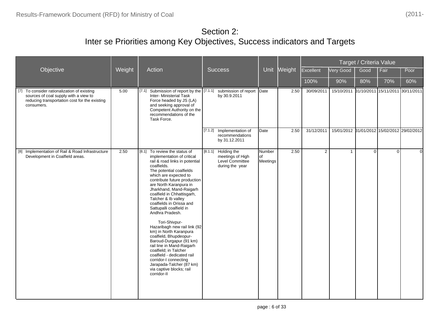|                                                                                                                                                     |        |                                                                                                                                                                                                                                                                                                                                                                                                                                                                                                                                                                                                                                                                                                           |                                                                               |                           |        |                |                                             | Target / Criteria Value |                |          |
|-----------------------------------------------------------------------------------------------------------------------------------------------------|--------|-----------------------------------------------------------------------------------------------------------------------------------------------------------------------------------------------------------------------------------------------------------------------------------------------------------------------------------------------------------------------------------------------------------------------------------------------------------------------------------------------------------------------------------------------------------------------------------------------------------------------------------------------------------------------------------------------------------|-------------------------------------------------------------------------------|---------------------------|--------|----------------|---------------------------------------------|-------------------------|----------------|----------|
| Objective                                                                                                                                           | Weight | Action                                                                                                                                                                                                                                                                                                                                                                                                                                                                                                                                                                                                                                                                                                    | <b>Success</b>                                                                | Unit                      | Weight | Excellent      | Very Good                                   | Good                    | Fair           | Poor     |
|                                                                                                                                                     |        |                                                                                                                                                                                                                                                                                                                                                                                                                                                                                                                                                                                                                                                                                                           |                                                                               |                           |        | 100%           | 90%                                         | 80%                     | 70%            | 60%      |
| [7] To consider rationalization of existing<br>sources of coal supply with a view to<br>reducing transportation cost for the existing<br>consumers. | 5.00   | Submission of report by the [7.1.1] submission of report Date<br>[7.1]<br>Inter- Ministerial Task<br>Force headed by JS (LA)<br>and seeking approval of<br>Competent Authority on the<br>recommendations of the<br>Task Force.                                                                                                                                                                                                                                                                                                                                                                                                                                                                            | by 30.9.2011                                                                  |                           | 2.50   | 30/09/2011     | 15/10/2011 31/10/2011 15/11/2011 30/11/2011 |                         |                |          |
|                                                                                                                                                     |        |                                                                                                                                                                                                                                                                                                                                                                                                                                                                                                                                                                                                                                                                                                           | [7.1.2] Implementation of<br>recommendations<br>by 31.12.2011                 | Date                      | 2.50   | 31/12/2011     | 15/01/2012 31/01/2012 15/02/2012 29/02/2012 |                         |                |          |
| [8] Implementation of Rail & Road Infrastructure<br>Development in Coalfield areas.                                                                 | 2.50   | [8.1] To review the status of<br>implementation of critical<br>rail & road links in potential<br>coalfields.<br>The potential coalfields<br>which are expected to<br>contribute future production<br>are North Karanpura in<br>Jharkhand, Mand-Raigarh<br>coalfield in Chhattisgarh,<br>Talcher & Ib valley<br>coalfields in Orissa and<br>Sattupalli coalfield in<br>Andhra Pradesh.<br>Tori-Shivpur-<br>Hazaribagh new rail link (92<br>km) in North Karanpura<br>coalfield, Bhupdeopur-<br>Baroud-Durgapur (91 km)<br>rail line in Mand-Raigarh<br>coalfield; in Talcher<br>coalfield - dedicated rail<br>corridor-I connecting<br>Jarapada-Talcher (87 km)<br>via captive blocks; rail<br>corridor-II | [8.1.1] Holding the<br>meetings of High<br>Level Committee<br>during the year | Number<br> of<br>Meetings | 2.50   | $\overline{2}$ | $\overline{1}$                              | $\Omega$                | $\overline{0}$ | $\Omega$ |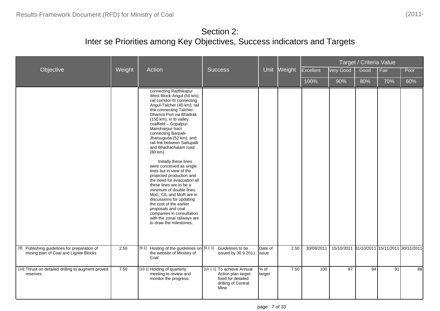| Objective                                                                              |                  |                                                                                                                                                                                                                                                                                                                                                                                                                                                                                                                                                                                                                                                                                                                                                                           |                                                                                                       |                  |               |            |                                             | Target / Criteria Value |      |      |
|----------------------------------------------------------------------------------------|------------------|---------------------------------------------------------------------------------------------------------------------------------------------------------------------------------------------------------------------------------------------------------------------------------------------------------------------------------------------------------------------------------------------------------------------------------------------------------------------------------------------------------------------------------------------------------------------------------------------------------------------------------------------------------------------------------------------------------------------------------------------------------------------------|-------------------------------------------------------------------------------------------------------|------------------|---------------|------------|---------------------------------------------|-------------------------|------|------|
|                                                                                        | Weight<br>Action |                                                                                                                                                                                                                                                                                                                                                                                                                                                                                                                                                                                                                                                                                                                                                                           | <b>Success</b>                                                                                        | Unit             | <b>Weight</b> | Excellent  | Very Good                                   | Good                    | Fair | Poor |
|                                                                                        |                  |                                                                                                                                                                                                                                                                                                                                                                                                                                                                                                                                                                                                                                                                                                                                                                           |                                                                                                       |                  |               | 100%       | 90%                                         | 80%                     | 70%  | 60%  |
|                                                                                        |                  | connecting Radhikapur<br>West Block-Angul (50 km);<br>rail corridor-III connecting<br>Angul-Talcher (40 km); rail<br>link connecting Talcher-<br>Dhamra Port via Bhadrak<br>(150 km); in Ib valley<br>coalfield - Gopalpur-<br>Manoharpur tract<br>connecting Barpalli-<br>Jharsuguda (52 km); and<br>rail link between Sattupalli<br>and Bhadrachalam road<br>(80 km).<br>Initially these lines<br>were conceived as single<br>lines but in view of the<br>projected production and<br>the need for evacuation all<br>these lines are to be a<br>minimum of double lines.<br>MoC, CIL and MoR are in<br>discussions for updating<br>the cost of the earlier<br>proposals and coal<br>companies in consultation<br>with the zonal railways are<br>to draw the milestones. |                                                                                                       |                  |               |            |                                             |                         |      |      |
| [9] Publishing guidelines for preparation of<br>mining plan of Coal and Lignite Blocks | 2.50             | Hosting of the guidelines on [9.1.1] Guidelines to be<br>[9.1]<br>the website of Ministry of<br>Coal                                                                                                                                                                                                                                                                                                                                                                                                                                                                                                                                                                                                                                                                      | issued by 30.9.2011                                                                                   | Date of<br>issue | 2.50          | 30/09/2011 | 15/10/2011 31/10/2011 15/11/2011 30/11/2011 |                         |      |      |
| [10] Thrust on detailed drilling to augment proved<br>reserves.                        | 7.50             | [10.1] Holding of quarterly<br>meeting to review and<br>monitor the progress.                                                                                                                                                                                                                                                                                                                                                                                                                                                                                                                                                                                                                                                                                             | [10.1.1] To achieve Annual<br>Action plan target<br>fixed for detailed<br>drilling of Central<br>Mine | $%$ of<br>target | 7.50          | 100        | 97                                          | 94                      | 91   | 88   |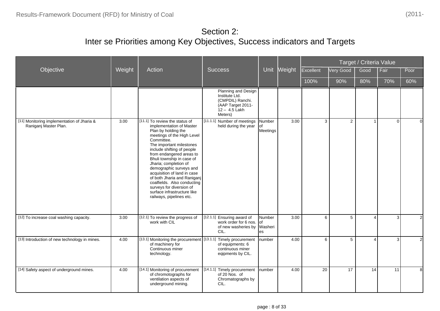|                                                                     |        |                                                                                                                                                                                                                                                                                                                                                                                                                                                                                          |                                                                                                              |                                |        |           |           | Target / Criteria Value |                |                |
|---------------------------------------------------------------------|--------|------------------------------------------------------------------------------------------------------------------------------------------------------------------------------------------------------------------------------------------------------------------------------------------------------------------------------------------------------------------------------------------------------------------------------------------------------------------------------------------|--------------------------------------------------------------------------------------------------------------|--------------------------------|--------|-----------|-----------|-------------------------|----------------|----------------|
| Objective                                                           | Weight | Action                                                                                                                                                                                                                                                                                                                                                                                                                                                                                   | <b>Success</b>                                                                                               | Unit                           | Weight | Excellent | Very Good | Good                    | Fair           | Poor           |
|                                                                     |        |                                                                                                                                                                                                                                                                                                                                                                                                                                                                                          |                                                                                                              |                                |        | 100%      | 90%       | 80%                     | 70%            | 60%            |
|                                                                     |        |                                                                                                                                                                                                                                                                                                                                                                                                                                                                                          | Planning and Design<br>Institute Ltd.<br>(CMPDIL) Ranchi.<br>(AAP Target 2011-<br>$12 - 4.5$ Lakh<br>Meters) |                                |        |           |           |                         |                |                |
| [11] Monitoring implementation of Jharia &<br>Raniganj Master Plan. | 3.00   | [11.1] To review the status of<br>implementation of Master<br>Plan by holding the<br>meetings of the High Level<br>Committee.<br>The important milestones<br>include shifting of people<br>from endangered areas to<br>Bhuli township in case of<br>Jharia; completion of<br>demographic surveys and<br>acquisition of land in case<br>of both Jharia and Raniganj<br>coalfields. Also conducting<br>surveys for diversion of<br>surface infrastructure like<br>railways, pipelines etc. | [11.1.1] Number of meetings<br>held during the year                                                          | Number<br>of<br>Meetings       | 3.00   | 3         | 2         |                         | $\Omega$       | $\Omega$       |
| [12] To increase coal washing capacity.                             | 3.00   | [12.1] To review the progress of<br>work with CIL                                                                                                                                                                                                                                                                                                                                                                                                                                        | [12.1.1] Ensuring award of<br>work order for 6 nos.<br>of new washeries by<br>CIL.                           | Number<br>lof<br>Washeri<br>es | 3.00   | 6         | 5         | Δ                       | $\overline{3}$ | $\overline{2}$ |
| [13] Introduction of new technology in mines.                       | 4.00   | [13.1] Monitoring the procurement [13.1.1] Timely procurement<br>of machinery for<br>Continuous miner<br>technology.                                                                                                                                                                                                                                                                                                                                                                     | of equipments: 6<br>continuous miner<br>eqipments by CIL.                                                    | number                         | 4.00   | 6         | 5         |                         | $\overline{3}$ | $\overline{2}$ |
| [14] Safety aspect of underground mines.                            | 4.00   | [14.1] Monitoring of procurement<br>of chromotographs for<br>ventilation aspects of<br>underground mining.                                                                                                                                                                                                                                                                                                                                                                               | [14.1.1] Timely procurement<br>of 20 Nos. of<br>Chromatographs by<br>CIL.                                    | number                         | 4.00   | 20        | 17        | 14                      | 11             | 8              |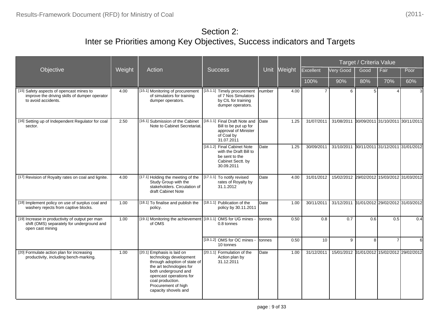|                                                                                                                   |               |                                                                                                                                                                                                                                        |                                                                                                            |         |        |                |                                             | Target / Criteria Value |                                  |      |
|-------------------------------------------------------------------------------------------------------------------|---------------|----------------------------------------------------------------------------------------------------------------------------------------------------------------------------------------------------------------------------------------|------------------------------------------------------------------------------------------------------------|---------|--------|----------------|---------------------------------------------|-------------------------|----------------------------------|------|
| Objective                                                                                                         | <b>Weight</b> | Action                                                                                                                                                                                                                                 | <b>Success</b>                                                                                             | Unit    | Weight | Excellent      | Very Good                                   | Good                    | Fair                             | Poor |
|                                                                                                                   |               |                                                                                                                                                                                                                                        |                                                                                                            |         |        | 100%           | 90%                                         | 80%                     | 70%                              | 60%  |
| [15] Safety aspects of opencast mines to<br>improve the driving skills of dumper operator<br>to avoid accidents.  | 4.00          | [15.1] Monitoring of procurement<br>of simulators for training<br>dumper operators.                                                                                                                                                    | [15.1.1] Timely procurement<br>of 7 Nos Simulators<br>by CIL for training<br>dumper operators.             | number  | 4.00   | $\overline{7}$ | 6                                           | 5                       |                                  | 3    |
| [16] Setting up of Independent Regulator for coal<br>sector.                                                      | 2.50          | [16.1] Submission of the Cabinet<br>Note to Cabinet Secretariat.                                                                                                                                                                       | [16.1.1] Final Draft Note and<br>Bill to be put up for<br>approval of Minister<br>of Coal by<br>31.07.2011 | Date    | 1.25   | 31/07/2011     | 31/08/2011                                  |                         | 30/09/2011 31/10/2011 30/11/2011 |      |
|                                                                                                                   |               |                                                                                                                                                                                                                                        | [16.1.2] Final Cabinet Note<br>with the Draft Bill to<br>be sent to the<br>Cabinet Sectt. by<br>30.09.2011 | Date    | 1.25   | 30/09/2011     | 31/10/2011 80/11/2011 31/12/2011 31/01/2012 |                         |                                  |      |
| [17] Revision of Royalty rates on coal and lignite.                                                               | 4.00          | [17.1] Holding the meeting of the<br>Study Group with the<br>stakeholders. Circulation of<br>draft Cabinet Note                                                                                                                        | [17.1.1] To notify revised<br>rates of Royalty by<br>31.1.2012                                             | Date    | 4.00   | 31/01/2012     | 15/02/2012 29/02/2012 15/03/2012 31/03/2012 |                         |                                  |      |
| [18] Implement policy on use of surplus coal and<br>washery rejects from captive blocks.                          | 1.00          | [18.1] To finalise and publish the<br>policy.                                                                                                                                                                                          | [18.1.1] Publication of the<br>policy by 30.11.2011                                                        | Date    | 1.00   | 30/11/2011     | 31/12/2011                                  |                         | 31/01/2012 29/02/2012 31/03/2012 |      |
| [19] Increase in productivity of output per man<br>shift (OMS) separately for underground and<br>open cast mining | 1.00          | [19.1] Monitoring the achievement<br>of OMS                                                                                                                                                                                            | [19.1.1] OMS for UG mines -<br>0.8 tonnes                                                                  | tonnes  | 0.50   | 0.8            | 0.7                                         | 0.6                     | 0.5                              | 0.4  |
|                                                                                                                   |               |                                                                                                                                                                                                                                        | [19.1.2] OMS for OC mines -<br>10 tonnes                                                                   | Itonnes | 0.50   | 10             | 9                                           | $\mathsf{R}$            | $\overline{7}$                   | 6    |
| [20] Formulate action plan for increasing<br>productivity, including bench-marking.                               | 1.00          | [20.1] Emphasis is laid on<br>technology development<br>through adoption of state of<br>the art technologies for<br>both underground and<br>opencast operations for<br>coal production.<br>Procurement of high<br>capacity shovels and | [20.1.1] Formulation of the<br>Action plan by<br>31.12.2011                                                | Date    | 1.00   | 31/12/2011     | 15/01/2012 31/01/2012 15/02/2012 29/02/2012 |                         |                                  |      |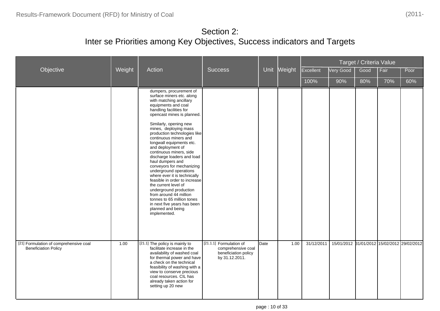| Objective                                                             |        |                                                                                                                                                                                                                                                                                                                                                                                                                                                                                                                                                                                                                                                                                                                 |                                                                                         |      |        |            |                                             | Target / Criteria Value |      |      |
|-----------------------------------------------------------------------|--------|-----------------------------------------------------------------------------------------------------------------------------------------------------------------------------------------------------------------------------------------------------------------------------------------------------------------------------------------------------------------------------------------------------------------------------------------------------------------------------------------------------------------------------------------------------------------------------------------------------------------------------------------------------------------------------------------------------------------|-----------------------------------------------------------------------------------------|------|--------|------------|---------------------------------------------|-------------------------|------|------|
|                                                                       | Weight | Action                                                                                                                                                                                                                                                                                                                                                                                                                                                                                                                                                                                                                                                                                                          | <b>Success</b>                                                                          | Unit | Weight | Excellent  | Very Good                                   | Good                    | Fair | Poor |
|                                                                       |        |                                                                                                                                                                                                                                                                                                                                                                                                                                                                                                                                                                                                                                                                                                                 |                                                                                         |      |        | 100%       | 90%                                         | 80%                     | 70%  | 60%  |
|                                                                       |        | dumpers, procurement of<br>surface miners etc. along<br>with matching ancillary<br>equipments and coal<br>handling facilities for<br>opencast mines is planned.<br>Similarly, opening new<br>mines, deploying mass<br>production technologies like<br>continuous miners and<br>longwall equipments etc.<br>and deployment of<br>continuous miners, side<br>discharge loaders and load<br>haul dumpers and<br>conveyors for mechanizing<br>underground operations<br>where ever it is technically<br>feasible in order to increase<br>the current level of<br>underground production<br>from around 44 million<br>tonnes to 65 million tones<br>in next five years has been<br>planned and being<br>implemented. |                                                                                         |      |        |            |                                             |                         |      |      |
| [21] Formulation of comprehensive coal<br><b>Beneficiation Policy</b> | 1.00   | [21.1] The policy is mainly to<br>facilitate increase in the<br>availability of washed coal<br>for thermal power and have<br>a check on the technical<br>feasibility of washing with a<br>view to conserve precious<br>coal resources. CIL has<br>already taken action for<br>setting up 20 new                                                                                                                                                                                                                                                                                                                                                                                                                 | [21.1.1] Formulation of<br>comprehensive coal<br>beneficiation policy<br>by 31.12.2011. | Date | 1.00   | 31/12/2011 | 15/01/2012 31/01/2012 15/02/2012 29/02/2012 |                         |      |      |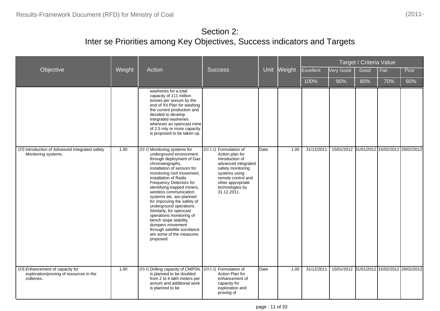| Objective                                                                                  |        |                                                                                                                                                                                                                                                                                                                                                                                                                                                                                                                                                       |                                                                                                                                                                                                         |             |        |            |                                             | Target / Criteria Value |      |      |
|--------------------------------------------------------------------------------------------|--------|-------------------------------------------------------------------------------------------------------------------------------------------------------------------------------------------------------------------------------------------------------------------------------------------------------------------------------------------------------------------------------------------------------------------------------------------------------------------------------------------------------------------------------------------------------|---------------------------------------------------------------------------------------------------------------------------------------------------------------------------------------------------------|-------------|--------|------------|---------------------------------------------|-------------------------|------|------|
|                                                                                            | Weight | Action                                                                                                                                                                                                                                                                                                                                                                                                                                                                                                                                                | <b>Success</b>                                                                                                                                                                                          | <b>Unit</b> | Weight | Excellent  | Very Good                                   | Good                    | Fair | Poor |
|                                                                                            |        |                                                                                                                                                                                                                                                                                                                                                                                                                                                                                                                                                       |                                                                                                                                                                                                         |             |        | 100%       | 90%                                         | 80%                     | 70%  | 60%  |
|                                                                                            |        | washeries for a total<br>capacity of 111 million<br>tonnes per annum by the<br>end of XII Plan for washing<br>the current production and<br>decided to develop<br>integrated washeries<br>wherever an opencast mine<br>of 2.5 mty or more capacity<br>is proposed to be taken up.                                                                                                                                                                                                                                                                     |                                                                                                                                                                                                         |             |        |            |                                             |                         |      |      |
| [22] Introduction of Advanced Integrated safety<br>Monitoring systems.                     | 1.00   | [22.1] Monitoring systems for<br>underground environment<br>through deployment of Gas<br>chromatographs,<br>installation of sensors for<br>monitoring roof movement,<br>installation of Radio<br>Frequency Detectors for<br>identifying trapped miners,<br>wireless communication<br>systems etc. are planned<br>for improving the safety of<br>underground operations.<br>Similarly, for opencast<br>operations monitoring of<br>bench slope stability,<br>dumpers movement<br>through satellite survilance<br>are some of the measures<br>proposed. | [22.1.1] Formulation of<br>Action plan for<br>introduction of<br>advanced integrated<br>safety monitoring<br>systems using<br>remote control and<br>other appropriate<br>technologies by<br>31.12.2011. | Date        | 1.00   | 31/12/2011 | 15/01/2012 31/01/2012 15/02/2012 29/02/2012 |                         |      |      |
| [23] Enhancement of capacity for<br>exploration/proving of resources in the<br>collieries. | 1.00   | [23.1] Drilling capacity of CMPDIL [23.1.1] Formulation of<br>is planned to be doubled<br>from 2 to 4 lakh meters per<br>annum and additional work<br>is planned to be                                                                                                                                                                                                                                                                                                                                                                                | Action Plan for<br>enhancement of<br>capacity for<br>exploration and<br>proving of                                                                                                                      | Date        | 1.00   | 31/12/2011 | 15/01/2012 31/01/2012 15/02/2012 29/02/2012 |                         |      |      |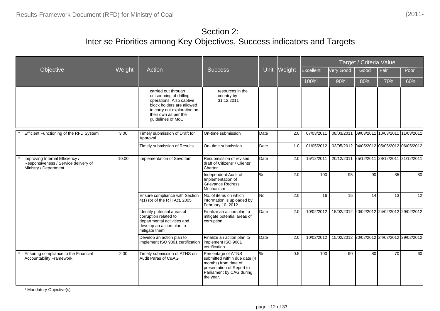|                                                                                                  |        |                                                                                                                                                                                      |                                                                                                                                                  |              |        |            |                                             | Target / Criteria Value |                                  |      |
|--------------------------------------------------------------------------------------------------|--------|--------------------------------------------------------------------------------------------------------------------------------------------------------------------------------------|--------------------------------------------------------------------------------------------------------------------------------------------------|--------------|--------|------------|---------------------------------------------|-------------------------|----------------------------------|------|
| Objective                                                                                        | Weight | <b>Action</b>                                                                                                                                                                        | <b>Success</b>                                                                                                                                   | Unit         | Weight | Excellent  | Very Good                                   | Good                    | Fair                             | Poor |
|                                                                                                  |        |                                                                                                                                                                                      |                                                                                                                                                  |              |        | 100%       | 90%                                         | 80%                     | 70%                              | 60%  |
|                                                                                                  |        | carried out through<br>outsourcing of drilling<br>operations. Also captive<br>block holders are allowed<br>to carry out exploration on<br>their own as per the<br>guidelines of MoC. | resources in the<br>country by<br>31.12.2011                                                                                                     |              |        |            |                                             |                         |                                  |      |
| Efficient Functioning of the RFD System                                                          | 3.00   | Timely submission of Draft for<br>Approval                                                                                                                                           | On-time submission                                                                                                                               | Date         | 2.0    | 07/03/2011 | 08/03/2011                                  |                         | 09/03/2011 10/03/2011 11/03/2011 |      |
|                                                                                                  |        | Timely submission of Results                                                                                                                                                         | On-time submission                                                                                                                               | <b>D</b> ate | 1.0    | 01/05/2012 | 03/05/2012 04/05/2012 05/05/2012 06/05/2012 |                         |                                  |      |
| Improving Internal Efficiency /<br>Responsiveness / Service delivery of<br>Ministry / Department | 10.00  | Implementation of Sevottam                                                                                                                                                           | Resubmission of revised<br>draft of Citizens' / Clients'<br>Charter                                                                              | <b>D</b> ate | 2.0    | 15/12/2011 | 20/12/2011 25/12/2011 28/12/2011 31/12/2011 |                         |                                  |      |
|                                                                                                  |        |                                                                                                                                                                                      | Independent Audit of<br>Implementation of<br><b>Grievance Redress</b><br>Mechanism                                                               | l%           | 2.0    | 100        | 95                                          | 90                      | 85                               | 80   |
|                                                                                                  |        | Ensure compliance with Section<br>4(1) (b) of the RTI Act, 2005                                                                                                                      | No. of items on which<br>information is uploaded by<br>February 10, 2012                                                                         | lNo.         | 2.0    | 16         | 15                                          | 14                      | 13                               | 12   |
|                                                                                                  |        | Identify potential areas of<br>corruption related to<br>departmental activities and<br>develop an action plan to<br>mitigate them                                                    | Finalize an action plan to<br>mitigate potential areas of<br>corruption.                                                                         | Date         | 2.0    | 10/02/2012 | 15/02/2012 20/02/2012 24/02/2012 29/02/2012 |                         |                                  |      |
|                                                                                                  |        | Develop an action plan to<br>implement ISO 9001 certification                                                                                                                        | Finalize an action plan to<br>implement ISO 9001<br>certification                                                                                | <b>D</b> ate | 2.0    | 10/02/2012 | 15/02/2012 20/02/2012 24/02/2012 29/02/2012 |                         |                                  |      |
| Ensuring compliance to the Financial<br><b>Accountability Framework</b>                          | 2.00   | Timely submission of ATNS on<br>Audit Paras of C&AG                                                                                                                                  | Percentage of ATNS<br>submitted within due date (4<br>months) from date of<br>presentation of Report to<br>Parliament by CAG during<br>the year. | l%           | 0.5    | 100        | 90                                          | 80                      | 70                               | 60   |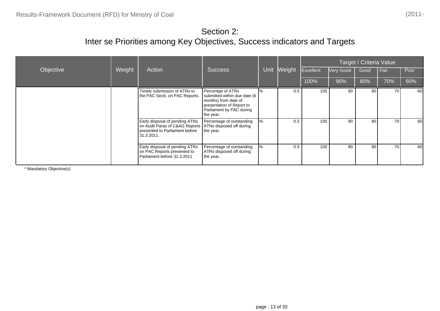|           |        |                                                                                                                  |                                                                                                                                                 |      |        | Target / Criteria Value |           |      |      |      |  |  |  |
|-----------|--------|------------------------------------------------------------------------------------------------------------------|-------------------------------------------------------------------------------------------------------------------------------------------------|------|--------|-------------------------|-----------|------|------|------|--|--|--|
| Objective | Weight | Action                                                                                                           | <b>Success</b>                                                                                                                                  | Unit | Weight | Excellent               | Very Good | Good | Fair | Poor |  |  |  |
|           |        |                                                                                                                  |                                                                                                                                                 |      |        | 100%                    | 90%       | 80%  | 70%  | 60%  |  |  |  |
|           |        | Timely submission of ATRs to<br>the PAC Sectt. on PAC Reports.                                                   | Percentge of ATRs<br>submitted within due date (6<br>months) from date of<br>presentation of Report to<br>Parliament by PAC during<br>the year. | ℅    | 0.5    | 100                     | 90        | 80   | 70   | 60I  |  |  |  |
|           |        | Early disposal of pending ATNs<br>on Audit Paras of C&AG Reports<br>presented to Parliament before<br>31.3.2011. | Percentage of outstanding<br>ATNs disposed off during<br>the year.                                                                              | ℅    | 0.5    | 100                     | 90        | 80   | 70   | 60   |  |  |  |
|           |        | Early disposal of pending ATRs<br>on PAC Reports presented to<br>Parliament before 31.3.2011                     | Percentage of outstanding<br>ATRs disposed off during<br>the year.                                                                              | %    | 0.5    | 100                     | 90        | 80   | 70   | 60   |  |  |  |

\* Mandatory Objective(s)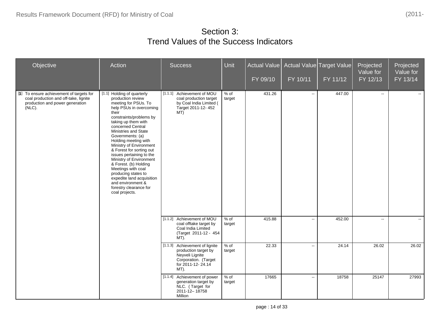Section 3: Trend Values of the Success Indicators

| Objective                                                                                                                         | Action                                                                                                                                                                                                                                                                                                                                                                                                                                                                                                                                   | <b>Success</b>                                                                                                                 | Unit             | <b>Actual Value</b><br>FY 09/10 | FY 10/11                    | Actual Value Target Value<br>FY 11/12 | Projected<br>Value for<br>FY 12/13 | Projected<br>Value for<br>FY 13/14 |
|-----------------------------------------------------------------------------------------------------------------------------------|------------------------------------------------------------------------------------------------------------------------------------------------------------------------------------------------------------------------------------------------------------------------------------------------------------------------------------------------------------------------------------------------------------------------------------------------------------------------------------------------------------------------------------------|--------------------------------------------------------------------------------------------------------------------------------|------------------|---------------------------------|-----------------------------|---------------------------------------|------------------------------------|------------------------------------|
| [1] To ensure achievement of targets for<br>coal production and off-take, lignite<br>production and power generation<br>$(NLC)$ . | [1.1] Holding of quarterly<br>production review<br>meeting for PSUs. To<br>help PSUs in overcoming<br>their<br>constraints/problems by<br>taking up them with<br>concerned Central<br>Ministries and State<br>Governments: (a)<br>Holding meeting with<br>Ministry of Environment<br>& Forest for sorting out<br>issues pertaining to the<br>Ministry of Environment<br>& Forest. (b) Holding<br>Meetings with coal<br>producing states to<br>expedite land acquisition<br>and environment &<br>forestry clearance for<br>coal projects. | [1.1.1] Achievement of MOU<br>coal production target<br>by Coal India Limited (<br>Target 2011-12-452<br>MT)                   | $%$ of<br>target | 431.26                          | $\sim$                      | 447.00                                | $\mathbf{L}$                       | $\sim$                             |
|                                                                                                                                   |                                                                                                                                                                                                                                                                                                                                                                                                                                                                                                                                          | [1.1.2] Achievement of MOU<br>coal offtake target by<br>Coal India Limited<br>(Target 2011-12 - 454<br>MT).                    | $%$ of<br>target | 415.88                          | $\mathcal{L}_{\mathcal{F}}$ | 452.00                                | $\overline{\phantom{a}}$           | $\sim$                             |
|                                                                                                                                   |                                                                                                                                                                                                                                                                                                                                                                                                                                                                                                                                          | [1.1.3] Achievement of lignite<br>production target by<br>Neyveli Lignite<br>Corporation. (Target<br>for 2011-12-24.14<br>MT). | $%$ of<br>target | 22.33                           | $\sim$ $\sim$               | 24.14                                 | 26.02                              | 26.02                              |
|                                                                                                                                   |                                                                                                                                                                                                                                                                                                                                                                                                                                                                                                                                          | [1.1.4] Achievement of power<br>generation target by<br>NLC. (Target for<br>2011-12-18758<br>Million                           | $%$ of<br>target | 17665                           | $\mathbb{H}^{\mathbb{Z}}$   | 18758                                 | 25147                              | 27993                              |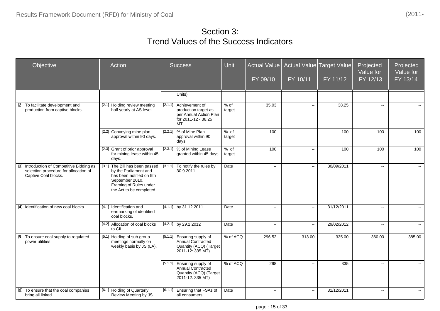Section 3: Trend Values of the Success Indicators

| Objective                                                                                                   | Action                                                                                                                                                       | <b>Success</b>                                                                                         | <b>Unit</b>      | <b>Actual Value</b><br>FY 09/10 | FY 10/11                  | <b>Actual Value Target Value</b><br>$FY$ 11/12 | Projected<br>Value for<br>FY 12/13 | Projected<br>Value for<br>FY 13/14 |
|-------------------------------------------------------------------------------------------------------------|--------------------------------------------------------------------------------------------------------------------------------------------------------------|--------------------------------------------------------------------------------------------------------|------------------|---------------------------------|---------------------------|------------------------------------------------|------------------------------------|------------------------------------|
|                                                                                                             |                                                                                                                                                              | Units).                                                                                                |                  |                                 |                           |                                                |                                    |                                    |
| <sup>2</sup> To facilitate development and<br>production from captive blocks.                               | [2.1] Holding review meeting<br>half yearly at AS level.                                                                                                     | [2.1.1] Achievement of<br>production target as<br>per Annual Action Plan<br>for 2011-12 - 38.25<br>MT. | % of<br>target   | 35.03                           | Ξ.                        | 38.25                                          | $\mathbb{L}^{\mathbb{L}}$          | $\mathbf{u}$                       |
|                                                                                                             | [2.2] Conveying mine plan<br>approval within 90 days.                                                                                                        | $\overline{[2.2.1]}$<br>% of Mine Plan<br>approval within 90<br>days.                                  | $%$ of<br>target | 100                             | $\sim$                    | 100                                            | 100                                | 100                                |
|                                                                                                             | [2.3] Grant of prior approval<br>for mining lease within 45<br>days.                                                                                         | [2.3.1]<br>% of Mining Lease<br>granted within 45 days.                                                | $%$ of<br>target | 100                             | $\mathbb{L}^{\mathbb{L}}$ | 100                                            | 100                                | 100                                |
| [3] Introduction of Competitive Bidding as<br>selection procedure for allocation of<br>Captive Coal blocks. | [3.1] The Bill has been passed<br>by the Parliament and<br>has been notified on 9th<br>September 2010.<br>Framing of Rules under<br>the Act to be completed. | To notify the rules by<br>[3.1.1]<br>30.9.2011                                                         | Date             | $\mathbf{u}$                    | $\overline{\phantom{a}}$  | 30/09/2011                                     | $\overline{a}$                     | $\mathcal{L}(\mathcal{L})$         |
| [4] Identification of new coal blocks.                                                                      | [4.1] Identification and<br>earmarking of identified<br>coal blocks.                                                                                         | [4.1.1] by 31.12.2011                                                                                  | Date             | $\overline{\phantom{a}}$        | $\sim$                    | 31/12/2011                                     | Щ,                                 | $\sim$                             |
|                                                                                                             | [4.2] Allocation of coal blocks<br>to CIL.                                                                                                                   | [4.2.1] by 29.2.2012                                                                                   | Date             | $\sim$                          | $\sim$                    | 29/02/2012                                     | $\sim$                             | $\sim$                             |
| [5 To ensure coal supply to regulated<br>power utilities.                                                   | [5.1] Holding of sub group<br>meetings normally on<br>weekly basis by JS (LA).                                                                               | [5.1.1] Ensuring supply of<br><b>Annual Contracted</b><br>Quantity (ACQ) (Target<br>2011-12: 335 MT)   | % of ACQ         | 296.52                          | 313.00                    | 335.00                                         | 360.00                             | 385.00                             |
|                                                                                                             |                                                                                                                                                              | [5.1.1] Ensuring supply of<br><b>Annual Contracted</b><br>Quantity (ACQ) (Target<br>2011-12: 335 MT)   | % of ACQ         | 298                             | $\sim$                    | 335                                            | $\overline{a}$                     | $\mathcal{L}(\mathcal{L})$         |
| [6] To ensure that the coal companies<br>bring all linked                                                   | [6.1] Holding of Quarterly<br>Review Meeting by JS                                                                                                           | Ensuring that FSAs of<br>[6.1.1]<br>all consumers                                                      | Date             | $\overline{\phantom{a}}$        | $\sim$                    | 31/12/2011                                     | $\mathbf{u}$                       | $\sim$                             |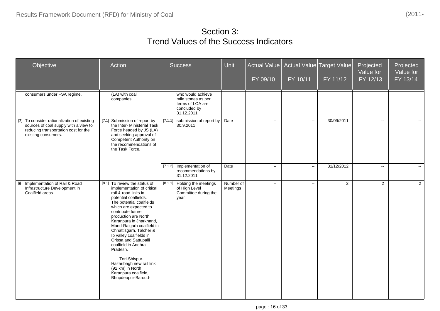Section 3: Trend Values of the Success Indicators

| Objective                                                                                                                                           | Action                                                                                                                                                                                                                                                                                                                                                                                                                                                                                                  | <b>Success</b>                                                                             | Unit                  | Actual Value<br>FY 09/10    | FY 10/11                  | Actual Value Target Value<br>FY 11/12 | Projected<br>Value for<br>FY 12/13 | Projected<br>Value for<br>FY 13/14 |
|-----------------------------------------------------------------------------------------------------------------------------------------------------|---------------------------------------------------------------------------------------------------------------------------------------------------------------------------------------------------------------------------------------------------------------------------------------------------------------------------------------------------------------------------------------------------------------------------------------------------------------------------------------------------------|--------------------------------------------------------------------------------------------|-----------------------|-----------------------------|---------------------------|---------------------------------------|------------------------------------|------------------------------------|
| consumers under FSA regime.                                                                                                                         | (LA) with coal<br>companies.                                                                                                                                                                                                                                                                                                                                                                                                                                                                            | who would achieve<br>mile stones as per<br>terms of LOA are<br>concluded by<br>31.12.2011. |                       |                             |                           |                                       |                                    |                                    |
| [7] To consider rationalization of existing<br>sources of coal supply with a view to<br>reducing transportation cost for the<br>existing consumers. | [7.1] Submission of report by<br>the Inter- Ministerial Task<br>Force headed by JS (LA)<br>and seeking approval of<br>Competent Authority on<br>the recommendations of<br>the Task Force.                                                                                                                                                                                                                                                                                                               | submission of report by<br>[7.1.1]<br>30.9.2011                                            | Date                  | $\mathcal{L}_{\mathcal{F}}$ | $\mathbb{L}^2$            | 30/09/2011                            | Ξ.                                 | $\sim$                             |
|                                                                                                                                                     |                                                                                                                                                                                                                                                                                                                                                                                                                                                                                                         | [7.1.2] Implementation of<br>recommendations by<br>31.12.2011                              | Date                  | $\mathbf{L}$                | $\mathbb{L}^{\mathbb{L}}$ | 31/12/2012                            | н.                                 | $\sim$                             |
| Implementation of Rail & Road<br>8<br>Infrastructure Development in<br>Coalfield areas.                                                             | [8.1] To review the status of<br>implementation of critical<br>rail & road links in<br>potential coalfields.<br>The potential coalfields<br>which are expected to<br>contribute future<br>production are North<br>Karanpura in Jharkhand,<br>Mand-Raigarh coalfield in<br>Chhattisgarh, Talcher &<br>Ib valley coalfields in<br>Orissa and Sattupalli<br>coalfield in Andhra<br>Pradesh.<br>Tori-Shivpur-<br>Hazaribagh new rail link<br>(92 km) in North<br>Karanpura coalfield,<br>Bhupdeopur-Baroud- | [8.1.1] Holding the meetings<br>of High Level<br>Committee during the<br>vear              | Number of<br>Meetings | $\sim$                      | $\overline{\phantom{a}}$  | $\overline{2}$                        | $\overline{2}$                     | 2                                  |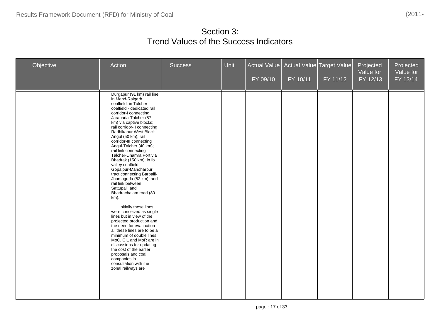Section 3: Trend Values of the Success Indicators

| Objective | Action                                                                                                                                                                                                                                                                                                                                                                                                                                                                                                                                                                                                                                                                                                                                                                                                                                                                                                                                                      | <b>Success</b> | Unit | <b>Actual Value</b><br>FY 09/10 | FY 10/11 | Actual Value Target Value<br>FY 11/12 | Projected<br>Value for<br>FY 12/13 | Projected<br>Value for<br>FY 13/14 |
|-----------|-------------------------------------------------------------------------------------------------------------------------------------------------------------------------------------------------------------------------------------------------------------------------------------------------------------------------------------------------------------------------------------------------------------------------------------------------------------------------------------------------------------------------------------------------------------------------------------------------------------------------------------------------------------------------------------------------------------------------------------------------------------------------------------------------------------------------------------------------------------------------------------------------------------------------------------------------------------|----------------|------|---------------------------------|----------|---------------------------------------|------------------------------------|------------------------------------|
|           | Durgapur (91 km) rail line<br>in Mand-Raigarh<br>coalfield; in Talcher<br>coalfield - dedicated rail<br>corridor-I connecting<br>Jarapada-Talcher (87<br>km) via captive blocks;<br>rail corridor-II connecting<br>Radhikapur West Block-<br>Angul (50 km); rail<br>corridor-III connecting<br>Angul-Talcher (40 km);<br>rail link connecting<br>Talcher-Dhamra Port via<br>Bhadrak (150 km); in lb<br>valley coalfield -<br>Gopalpur-Manoharpur<br>tract connecting Barpalli-<br>Jharsuguda (52 km); and<br>rail link between<br>Sattupalli and<br>Bhadrachalam road (80<br>km).<br>Initially these lines<br>were conceived as single<br>lines but in view of the<br>projected production and<br>the need for evacuation<br>all these lines are to be a<br>minimum of double lines.<br>MoC, CIL and MoR are in<br>discussions for updating<br>the cost of the earlier<br>proposals and coal<br>companies in<br>consultation with the<br>zonal railways are |                |      |                                 |          |                                       |                                    |                                    |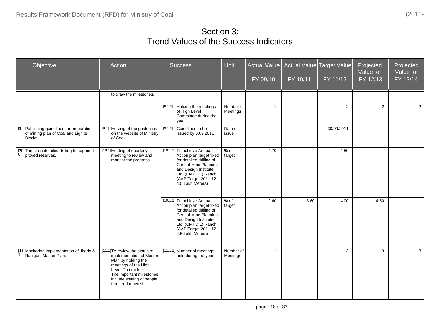Section 3: Trend Values of the Success Indicators

| Objective                                                                                          | Action                                                                                                                                                                                                     | <b>Success</b>                                                                                                                                                                                            | Unit                  | FY 09/10                 | Actual Value   Actual Value   Target Value  <br>FY 10/11 | $FY$ 11/12 | Projected<br>Value for<br>FY 12/13 | Projected<br>Value for<br>FY 13/14 |
|----------------------------------------------------------------------------------------------------|------------------------------------------------------------------------------------------------------------------------------------------------------------------------------------------------------------|-----------------------------------------------------------------------------------------------------------------------------------------------------------------------------------------------------------|-----------------------|--------------------------|----------------------------------------------------------|------------|------------------------------------|------------------------------------|
|                                                                                                    | to draw the milestones.                                                                                                                                                                                    |                                                                                                                                                                                                           |                       |                          |                                                          |            |                                    |                                    |
|                                                                                                    |                                                                                                                                                                                                            | [8.1.1] Holding the meetings<br>of High Level<br>Committee during the<br>year                                                                                                                             | Number of<br>Meetings | $\mathbf{1}$             | $\mathbf{L}$                                             | 2          | $\overline{2}$                     | $\overline{2}$                     |
| 19<br>Publishing guidelines for preparation<br>of mining plan of Coal and Lignite<br><b>Blocks</b> | [9.1] Hosting of the guidelines<br>on the website of Ministry<br>of Coal                                                                                                                                   | [9.1.1]<br>Guidelines to be<br>issued by 30.9.2011                                                                                                                                                        | Date of<br>issue      | $\overline{\phantom{a}}$ | $\mathord{\hspace{1pt}\text{--}\hspace{1pt}}$            | 30/09/2011 | $\overline{\phantom{a}}$           | $\mathcal{L}(\mathcal{L})$         |
| [10 Thrust on detailed drilling to augment<br>0<br>proved reserves.                                | [10.1] Holding of quarterly<br>meeting to review and<br>monitor the progress.                                                                                                                              | [10.1.1] To achieve Annual<br>Action plan target fixed<br>for detailed drilling of<br>Central Mine Planning<br>and Design Institute<br>Ltd. (CMPDIL) Ranchi.<br>(AAP Target 2011-12 -<br>4.5 Lakh Meters) | $%$ of<br>target      | 4.70                     | Ξ.                                                       | 4.50       | $\sim$                             | $\sim$                             |
|                                                                                                    |                                                                                                                                                                                                            | [10.1.1] To achieve Annual<br>Action plan target fixed<br>for detailed drilling of<br>Central Mine Planning<br>and Design Institute<br>Ltd. (CMPDIL) Ranchi.<br>(AAP Target 2011-12 -<br>4.5 Lakh Meters) | $%$ of<br>target      | 2.60                     | 3.60                                                     | 4.00       | 4.50                               | $\sim$                             |
| [11 Monitoring implementation of Jharia &<br>Raniganj Master Plan.                                 | [11.1] To review the status of<br>implementation of Master<br>Plan by holding the<br>meetings of the High<br>Level Committee.<br>The important milestones<br>include shifting of people<br>from endangered | [11.1.1] Number of meetings<br>held during the year                                                                                                                                                       | Number of<br>Meetings | $\mathbf{1}$             | $\mathbb{L}^{\mathbb{L}}$                                | 3          | 3                                  | 3                                  |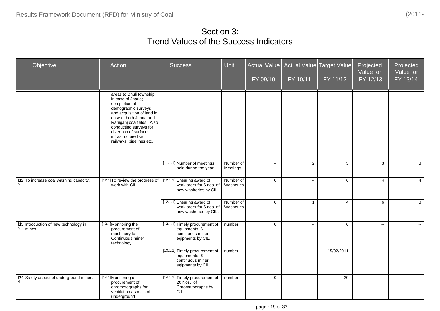Section 3: Trend Values of the Success Indicators

| Objective                                            | Action                                                                                                                                                                                                                                                                           | <b>Success</b>                                                                           | Unit                   | <b>Actual Value</b><br>FY 09/10 | FY 10/11                                      | Actual Value Target Value<br>$FY$ 11/12 | Projected<br>Value for<br>FY 12/13 | Projected<br>Value for<br>FY 13/14 |
|------------------------------------------------------|----------------------------------------------------------------------------------------------------------------------------------------------------------------------------------------------------------------------------------------------------------------------------------|------------------------------------------------------------------------------------------|------------------------|---------------------------------|-----------------------------------------------|-----------------------------------------|------------------------------------|------------------------------------|
|                                                      | areas to Bhuli township<br>in case of Jharia;<br>completion of<br>demographic surveys<br>and acquisition of land in<br>case of both Jharia and<br>Raniganj coalfields. Also<br>conducting surveys for<br>diversion of surface<br>infrastructure like<br>railways, pipelines etc. |                                                                                          |                        |                                 |                                               |                                         |                                    |                                    |
|                                                      |                                                                                                                                                                                                                                                                                  | [11.1.1] Number of meetings<br>held during the year                                      | Number of<br>Meetings  | $\sim$                          | $\overline{2}$                                | 3                                       | 3                                  | $\mathbf{3}$                       |
| [12 To increase coal washing capacity.               | [12.1] To review the progress of<br>work with CIL                                                                                                                                                                                                                                | [12.1.1] Ensuring award of<br>work order for 6 nos. of<br>new washeries by CIL.          | Number of<br>Washeries | $\mathbf 0$                     | $\mathord{\hspace{1pt}\text{--}\hspace{1pt}}$ | 6                                       | 4                                  | 4                                  |
|                                                      |                                                                                                                                                                                                                                                                                  | [12.1.1] Ensuring award of<br>work order for 6 nos. of<br>new washeries by CIL.          | Number of<br>Washeries | $\Omega$                        | $\mathbf{1}$                                  | $\overline{4}$                          | 6                                  | 8                                  |
| [13 Introduction of new technology in<br>3<br>mines. | [13.1] Monitoring the<br>procurement of<br>machinery for<br>Continuous miner<br>technology.                                                                                                                                                                                      | [13.1.1] Timely procurement of<br>equipments: 6<br>continuous miner<br>eqipments by CIL. | number                 | $\Omega$                        | $\overline{\phantom{a}}$                      | 6                                       | н.                                 | $\sim$                             |
|                                                      |                                                                                                                                                                                                                                                                                  | [13.1.1] Timely procurement of<br>equipments: 6<br>continuous miner<br>eqipments by CIL. | number                 | $\mathbf{u}$                    | $\overline{\phantom{a}}$                      | 15/02/2011                              | н.                                 | ۰.                                 |
| [14 Safety aspect of underground mines.              | [14.1]Monitoring of<br>procurement of<br>chromotographs for<br>ventilation aspects of<br>underground                                                                                                                                                                             | [14.1.1] Timely procurement of<br>20 Nos. of<br>Chromatographs by<br>CIL.                | number                 | $\Omega$                        | $\overline{\phantom{a}}$                      | 20                                      | $\sim$                             | $\sim$                             |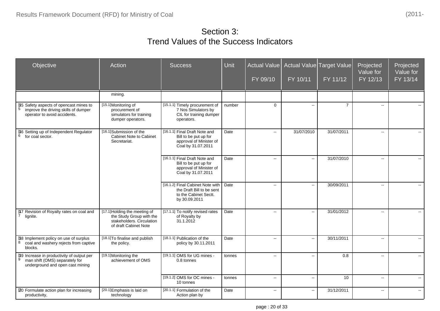Section 3: Trend Values of the Success Indicators

| Objective                                                                                                              | Action                                                                                                          | <b>Success</b>                                                                                          | Unit   | FY 09/10       | Actual Value   Actual Value   Target Value  <br>FY 10/11 | FY 11/12       | Projected<br>Value for<br>FY 12/13 | Projected<br>Value for<br>FY 13/14 |
|------------------------------------------------------------------------------------------------------------------------|-----------------------------------------------------------------------------------------------------------------|---------------------------------------------------------------------------------------------------------|--------|----------------|----------------------------------------------------------|----------------|------------------------------------|------------------------------------|
|                                                                                                                        | mining.                                                                                                         |                                                                                                         |        |                |                                                          |                |                                    |                                    |
| [15 Safety aspects of opencast mines to<br>improve the driving skills of dumper<br>5<br>operator to avoid accidents.   | [15.1] Monitoring of<br>procurement of<br>simulators for training<br>dumper operators.                          | [15.1.1] Timely procurement of<br>7 Nos Simulators by<br>CIL for training dumper<br>operators.          | number | $\Omega$       | $\mathbf{L}$                                             | $\overline{7}$ | $\sim$                             |                                    |
| [16 Setting up of Independent Regulator<br>6<br>for coal sector.                                                       | [16.1]Submission of the<br>Cabinet Note to Cabinet<br>Secretariat.                                              | [16.1.1] Final Draft Note and<br>Bill to be put up for<br>approval of Minister of<br>Coal by 31.07.2011 | Date   | $\sim$ $\sim$  | 31/07/2010                                               | 31/07/2011     | $\sim$                             | $\sim$                             |
|                                                                                                                        |                                                                                                                 | [16.1.1] Final Draft Note and<br>Bill to be put up for<br>approval of Minister of<br>Coal by 31.07.2011 | Date   | $\mathbf{L}$   | $\sim$                                                   | 31/07/2010     | $\mathbf{L}$                       | $\sim$                             |
|                                                                                                                        |                                                                                                                 | [16.1.2] Final Cabinet Note with<br>the Draft Bill to be sent<br>to the Cabinet Sectt.<br>by 30.09.2011 | Date   | $\overline{a}$ | $\mathbb{L}^{\mathbb{L}}$                                | 30/09/2011     | $\mathbf{L}$                       | $\mathbf{u}$                       |
| [17 Revision of Royalty rates on coal and<br>lignite.                                                                  | [17.1] Holding the meeting of<br>the Study Group with the<br>stakeholders. Circulation<br>of draft Cabinet Note | [17.1.1] To notify revised rates<br>of Royalty by<br>31.1.2012                                          | Date   | $\overline{a}$ | $\sim$                                                   | 31/01/2012     | $\mathbf{u}$                       | $\mathbb{L}^2$                     |
| [18 Implement policy on use of surplus<br>8<br>coal and washery rejects from captive<br>blocks.                        | [18.1] To finalise and publish<br>the policy.                                                                   | [18.1.1] Publication of the<br>policy by 30.11.2011                                                     | Date   | --             | $\sim$                                                   | 30/11/2011     | $\overline{\phantom{a}}$           | $\mathbf{u}$                       |
| [19 Increase in productivity of output per<br>man shift (OMS) separately for<br>-9<br>underground and open cast mining | [19.1] Monitoring the<br>achievement of OMS                                                                     | [19.1.1] OMS for UG mines -<br>0.8 tonnes                                                               | tonnes | Ξ.             | Ξ.                                                       | 0.8            | $\overline{\phantom{a}}$           | $\mathbf{u}$                       |
|                                                                                                                        |                                                                                                                 | [19.1.2] OMS for OC mines -<br>10 tonnes                                                                | tonnes | $\sim$         | $\bullet\bullet$                                         | 10             | $\sim$                             | $\sim$                             |
| [20 Formulate action plan for increasing<br>productivity,                                                              | [20.1] Emphasis is laid on<br>technology                                                                        | [20.1.1] Formulation of the<br>Action plan by                                                           | Date   | $\sim$         | $\sim$                                                   | 31/12/2011     | $\overline{\phantom{a}}$           | $\sim$                             |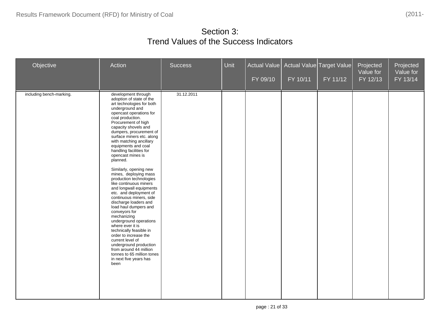Section 3: Trend Values of the Success Indicators

| Objective                | Action                                                                                                                                                                                                                                                                                                                                                                                                                                                                                                                                                                                                                                                                                                                                                                                                                                                                                  | <b>Success</b> | Unit | Actual Value<br>FY 09/10 | FY 10/11 | Actual Value Target Value<br>FY 11/12 | Projected<br>Value for<br>FY 12/13 | Projected<br>Value for<br>FY 13/14 |
|--------------------------|-----------------------------------------------------------------------------------------------------------------------------------------------------------------------------------------------------------------------------------------------------------------------------------------------------------------------------------------------------------------------------------------------------------------------------------------------------------------------------------------------------------------------------------------------------------------------------------------------------------------------------------------------------------------------------------------------------------------------------------------------------------------------------------------------------------------------------------------------------------------------------------------|----------------|------|--------------------------|----------|---------------------------------------|------------------------------------|------------------------------------|
| including bench-marking. | development through<br>adoption of state of the<br>art technologies for both<br>underground and<br>opencast operations for<br>coal production.<br>Procurement of high<br>capacity shovels and<br>dumpers, procurement of<br>surface miners etc. along<br>with matching ancillary<br>equipments and coal<br>handling facilities for<br>opencast mines is<br>planned.<br>Similarly, opening new<br>mines, deploying mass<br>production technologies<br>like continuous miners<br>and longwall equipments<br>etc. and deployment of<br>continuous miners, side<br>discharge loaders and<br>load haul dumpers and<br>conveyors for<br>mechanizing<br>underground operations<br>where ever it is<br>technically feasible in<br>order to increase the<br>current level of<br>underground production<br>from around 44 million<br>tonnes to 65 million tones<br>in next five years has<br>been | 31.12.2011     |      |                          |          |                                       |                                    |                                    |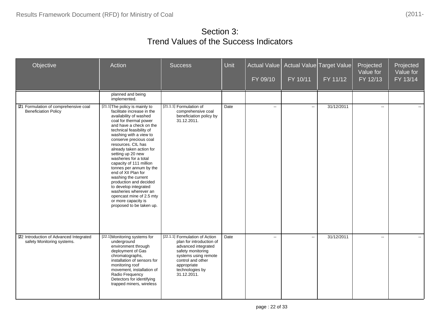Section 3: Trend Values of the Success Indicators

| Objective                                                             | Action                                                                                                                                                                                                                                                                                                                                                                                                                                                                                                                                                                                     | <b>Success</b>                                                                                                                                                                                       | Unit | FY 09/10     | Actual Value   Actual Value   Target Value  <br>FY 10/11 | $FY$ 11/12 | Projected<br>Value for<br>FY 12/13 | Projected<br>Value for<br>FY 13/14 |
|-----------------------------------------------------------------------|--------------------------------------------------------------------------------------------------------------------------------------------------------------------------------------------------------------------------------------------------------------------------------------------------------------------------------------------------------------------------------------------------------------------------------------------------------------------------------------------------------------------------------------------------------------------------------------------|------------------------------------------------------------------------------------------------------------------------------------------------------------------------------------------------------|------|--------------|----------------------------------------------------------|------------|------------------------------------|------------------------------------|
|                                                                       | planned and being<br>implemented.                                                                                                                                                                                                                                                                                                                                                                                                                                                                                                                                                          |                                                                                                                                                                                                      |      |              |                                                          |            |                                    |                                    |
| [21 Formulation of comprehensive coal<br><b>Beneficiation Policy</b>  | [21.1] The policy is mainly to<br>facilitate increase in the<br>availability of washed<br>coal for thermal power<br>and have a check on the<br>technical feasibility of<br>washing with a view to<br>conserve precious coal<br>resources. CIL has<br>already taken action for<br>setting up 20 new<br>washeries for a total<br>capacity of 111 million<br>tonnes per annum by the<br>end of XII Plan for<br>washing the current<br>production and decided<br>to develop integrated<br>washeries wherever an<br>opencast mine of 2.5 mty<br>or more capacity is<br>proposed to be taken up. | [21.1.1] Formulation of<br>comprehensive coal<br>beneficiation policy by<br>31.12.2011.                                                                                                              | Date | $\mathbf{u}$ | $\sim$                                                   | 31/12/2011 | $\mathbf{L}$                       | $\sim$                             |
| [22 Introduction of Advanced Integrated<br>safety Monitoring systems. | [22.1] Monitoring systems for<br>underground<br>environment through<br>deployment of Gas<br>chromatographs,<br>installation of sensors for<br>monitoring roof<br>movement, installation of<br>Radio Frequency<br>Detectors for identifying<br>trapped miners, wireless                                                                                                                                                                                                                                                                                                                     | [22.1.1] Formulation of Action<br>plan for introduction of<br>advanced integrated<br>safety monitoring<br>systems using remote<br>control and other<br>appropriate<br>technologies by<br>31.12.2011. | Date | 44           | $\mathord{\hspace{1pt}\text{--}\hspace{1pt}}$            | 31/12/2011 | $\overline{\phantom{a}}$           | $\mathcal{L}_{\mathcal{F}}$        |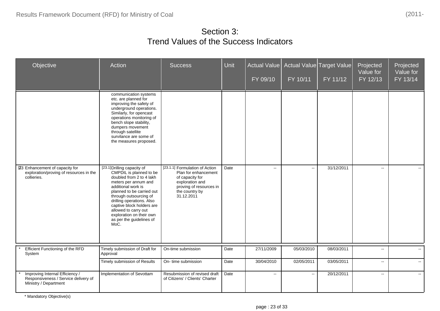Section 3: Trend Values of the Success Indicators

| Objective                                                                                        | Action                                                                                                                                                                                                                                                                                                                                    | <b>Success</b>                                                                                                                                          | Unit | Actual Value<br>FY 09/10 | FY 10/11                                      | Actual Value Target Value<br>FY 11/12 | Projected<br>Value for<br>$FY$ 12/13 | Projected<br>Value for<br>FY 13/14 |
|--------------------------------------------------------------------------------------------------|-------------------------------------------------------------------------------------------------------------------------------------------------------------------------------------------------------------------------------------------------------------------------------------------------------------------------------------------|---------------------------------------------------------------------------------------------------------------------------------------------------------|------|--------------------------|-----------------------------------------------|---------------------------------------|--------------------------------------|------------------------------------|
|                                                                                                  | communication systems<br>etc. are planned for<br>improving the safety of<br>underground operations.<br>Similarly, for opencast<br>operations monitoring of<br>bench slope stability,<br>dumpers movement<br>through satellite<br>survilance are some of<br>the measures proposed.                                                         |                                                                                                                                                         |      |                          |                                               |                                       |                                      |                                    |
| [23 Enhancement of capacity for<br>exploration/proving of resources in the<br>collieries.        | [23.1] Drilling capacity of<br>CMPDIL is planned to be<br>doubled from 2 to 4 lakh<br>meters per annum and<br>additional work is<br>planned to be carried out<br>through outsourcing of<br>drilling operations. Also<br>captive block holders are<br>allowed to carry out<br>exploration on their own<br>as per the guidelines of<br>MoC. | [23.1.1] Formulation of Action<br>Plan for enhancement<br>of capacity for<br>exploration and<br>proving of resources in<br>the country by<br>31.12.2011 | Date | ۰.                       | $\overline{\phantom{a}}$                      | 31/12/2011                            | $\sim$                               | $\mathcal{L}(\mathcal{L})$         |
| Efficient Functioning of the RFD<br>System                                                       | Timely submission of Draft for<br>Approval                                                                                                                                                                                                                                                                                                | On-time submission                                                                                                                                      | Date | 27/11/2009               | 05/03/2010                                    | 08/03/2011                            | $\overline{\phantom{a}}$             | $\sim$ $\sim$                      |
|                                                                                                  | Timely submission of Results                                                                                                                                                                                                                                                                                                              | On- time submission                                                                                                                                     | Date | 30/04/2010               | 02/05/2011                                    | 03/05/2011                            | $\sim$                               | $\sim$                             |
| Improving Internal Efficiency /<br>Responsiveness / Service delivery of<br>Ministry / Department | Implementation of Sevottam                                                                                                                                                                                                                                                                                                                | Resubmission of revised draft<br>of Citizens' / Clients' Charter                                                                                        | Date | --                       | $\mathord{\hspace{1pt}\text{--}\hspace{1pt}}$ | 20/12/2011                            | -−                                   | $\mathcal{L}(\mathcal{L})$         |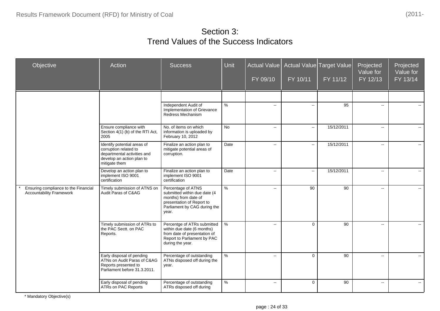Section 3: Trend Values of the Success Indicators

| Objective                                                               | Action                                                                                                                            | <b>Success</b>                                                                                                                                   | Unit          | <b>Actual Value</b><br>FY 09/10 | FY 10/11                    | Actual Value Target Value<br>FY 11/12 | Projected<br>Value for<br>FY 12/13 | Projected<br>Value for<br>FY 13/14 |
|-------------------------------------------------------------------------|-----------------------------------------------------------------------------------------------------------------------------------|--------------------------------------------------------------------------------------------------------------------------------------------------|---------------|---------------------------------|-----------------------------|---------------------------------------|------------------------------------|------------------------------------|
|                                                                         |                                                                                                                                   |                                                                                                                                                  |               |                                 |                             |                                       |                                    |                                    |
|                                                                         |                                                                                                                                   | Independent Audit of<br>Implementation of Grievance<br>Redress Mechanism                                                                         | $\%$          | 44                              | Ξ.                          | $\overline{95}$                       | н.                                 | $\sim$                             |
|                                                                         | Ensure compliance with<br>Section 4(1) (b) of the RTI Act,<br>2005                                                                | No. of items on which<br>information is uploaded by<br>February 10, 2012                                                                         | No            | ۰.                              | $\mathcal{L}_{\mathcal{F}}$ | 15/12/2011                            | н.                                 | $\mathcal{L}_{\mathcal{F}}$        |
|                                                                         | Identify potential areas of<br>corruption related to<br>departmental activities and<br>develop an action plan to<br>mitigate them | Finalize an action plan to<br>mitigate potential areas of<br>corruption.                                                                         | Date          | $\sim$                          | $\mathbb{L}^2$              | 15/12/2011                            | $\sim$                             | $\sim$                             |
|                                                                         | Develop an action plan to<br>implement ISO 9001<br>certification                                                                  | Finalize an action plan to<br>implement ISO 9001<br>certification                                                                                | Date          | ۰.                              | Ξ.                          | 15/12/2011                            | --                                 | $\sim$                             |
| Ensuring compliance to the Financial<br><b>Accountability Framework</b> | Timely submission of ATNS on<br>Audit Paras of C&AG                                                                               | Percentage of ATNS<br>submitted within due date (4<br>months) from date of<br>presentation of Report to<br>Parliament by CAG during the<br>year. | %             | $\sim$                          | $\overline{90}$             | 90                                    | $\sim$                             | $\sim$                             |
|                                                                         | Timely submission of ATRs to<br>the PAC Sectt. on PAC<br>Reports.                                                                 | Percentge of ATRs submitted<br>within due date (6 months)<br>from date of presentation of<br>Report to Parliament by PAC<br>during the year.     | $\frac{9}{6}$ | 44                              | $\Omega$                    | 90                                    | $\sim$                             | н.                                 |
|                                                                         | Early disposal of pending<br>ATNs on Audit Paras of C&AG<br>Reports presented to<br>Parliament before 31.3.2011.                  | Percentage of outstanding<br>ATNs disposed off during the<br>year.                                                                               | $\frac{0}{6}$ | 44                              | $\mathbf 0$                 | 90                                    | $\mathbf{u}$                       | $\mathcal{L}(\mathcal{L})$         |
|                                                                         | Early disposal of pending<br>ATRs on PAC Reports                                                                                  | Percentage of outstanding<br>ATRs disposed off during                                                                                            | $\%$          | $\sim$                          | $\mathbf 0$                 | 90                                    | $\sim$                             | $\sim$                             |

\* Mandatory Objective(s)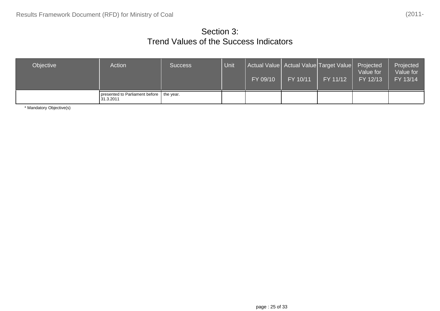Section 3: Trend Values of the Success Indicators

| Objective | Action                                      | <b>Success</b> | Unit | Actual Value   Actual Value Target Value<br>FY 09/10 | FY 10/11 | FY 11/12 | Projected<br>Value for<br>FY 12/13 | Projected<br>Value for<br>FY 13/14 |
|-----------|---------------------------------------------|----------------|------|------------------------------------------------------|----------|----------|------------------------------------|------------------------------------|
|           | presented to Parliament before<br>31.3.2011 | I the vear.    |      |                                                      |          |          |                                    |                                    |

\* Mandatory Objective(s)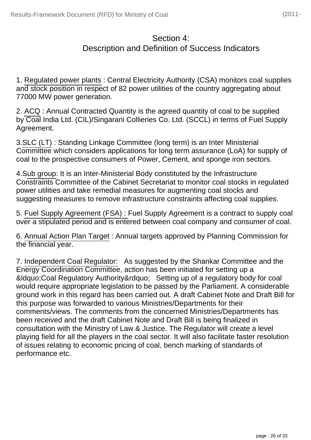1. Regulated power plants : Central Electricity Authority (CSA) monitors coal supplies and stock position in respect of 82 power utilities of the country aggregating about 77000 MW power generation.

2. ACQ : Annual Contracted Quantity is the agreed quantity of coal to be supplied by Coal India Ltd. (CIL)/Singarani Collieries Co. Ltd. (SCCL) in terms of Fuel Supply Agreement.

3.SLC (LT) : Standing Linkage Committee (long term) is an Inter Ministerial Committee which considers applications for long term assurance (LoA) for supply of coal to the prospective consumers of Power, Cement, and sponge iron sectors.

4.Sub group: It is an Inter-Ministerial Body constituted by the Infrastructure Constraints Committee of the Cabinet Secretariat to monitor coal stocks in regulated power utilities and take remedial measures for augmenting coal stocks and suggesting measures to remove infrastructure constraints affecting coal supplies.

5. Fuel Supply Agreement (FSA) : Fuel Supply Agreement is a contract to supply coal over a stipulated period and is entered between coal company and consumer of coal.

6. Annual Action Plan Target : Annual targets approved by Planning Commission for the financial year.

7. Independent Coal Regulator: As suggested by the Shankar Committee and the Energy Coordination Committee, action has been initiated for setting up a &Idquo; Coal Regulatory Authority & rdquo; Setting up of a regulatory body for coal would require appropriate legislation to be passed by the Parliament. A considerable ground work in this regard has been carried out. A draft Cabinet Note and Draft Bill for this purpose was forwarded to various Ministries/Departments for their comments/views. The comments from the concerned Ministries/Departments has been received and the draft Cabinet Note and Draft Bill is being finalized in consultation with the Ministry of Law & Justice. The Regulator will create a level playing field for all the players in the coal sector. It will also facilitate faster resolution of issues relating to economic pricing of coal, bench marking of standards of performance etc.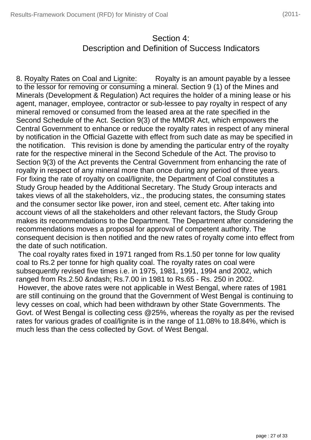8. Royalty Rates on Coal and Lignite: Royalty is an amount payable by a lessee to the lessor for removing or consuming a mineral. Section 9 (1) of the Mines and Minerals (Development & Regulation) Act requires the holder of a mining lease or his agent, manager, employee, contractor or sub-lessee to pay royalty in respect of any mineral removed or consumed from the leased area at the rate specified in the Second Schedule of the Act. Section 9(3) of the MMDR Act, which empowers the Central Government to enhance or reduce the royalty rates in respect of any mineral by notification in the Official Gazette with effect from such date as may be specified in the notification. This revision is done by amending the particular entry of the royalty rate for the respective mineral in the Second Schedule of the Act. The proviso to Section 9(3) of the Act prevents the Central Government from enhancing the rate of royalty in respect of any mineral more than once during any period of three years. For fixing the rate of royalty on coal/lignite, the Department of Coal constitutes a Study Group headed by the Additional Secretary. The Study Group interacts and takes views of all the stakeholders, viz., the producing states, the consuming states and the consumer sector like power, iron and steel, cement etc. After taking into account views of all the stakeholders and other relevant factors, the Study Group makes its recommendations to the Department. The Department after considering the recommendations moves a proposal for approval of competent authority. The consequent decision is then notified and the new rates of royalty come into effect from the date of such notification.

 The coal royalty rates fixed in 1971 ranged from Rs.1.50 per tonne for low quality coal to Rs.2 per tonne for high quality coal. The royalty rates on coal were subsequently revised five times i.e. in 1975, 1981, 1991, 1994 and 2002, which ranged from Rs.2.50 – Rs.7.00 in 1981 to Rs.65 - Rs. 250 in 2002. However, the above rates were not applicable in West Bengal, where rates of 1981 are still continuing on the ground that the Government of West Bengal is continuing to levy cesses on coal, which had been withdrawn by other State Governments. The Govt. of West Bengal is collecting cess @25%, whereas the royalty as per the revised rates for various grades of coal/lignite is in the range of 11.08% to 18.84%, which is much less than the cess collected by Govt. of West Bengal.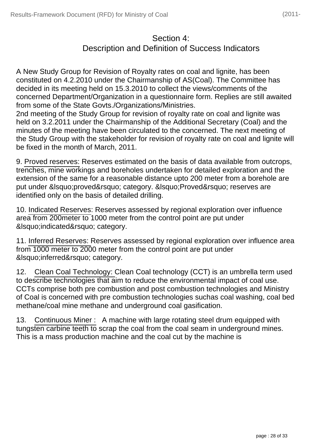A New Study Group for Revision of Royalty rates on coal and lignite, has been constituted on 4.2.2010 under the Chairmanship of AS(Coal). The Committee has decided in its meeting held on 15.3.2010 to collect the views/comments of the concerned Department/Organization in a questionnaire form. Replies are still awaited from some of the State Govts./Organizations/Ministries.

2nd meeting of the Study Group for revision of royalty rate on coal and lignite was held on 3.2.2011 under the Chairmanship of the Additional Secretary (Coal) and the minutes of the meeting have been circulated to the concerned. The next meeting of the Study Group with the stakeholder for revision of royalty rate on coal and lignite will be fixed in the month of March, 2011.

9. Proved reserves: Reserves estimated on the basis of data available from outcrops, trenches, mine workings and boreholes undertaken for detailed exploration and the extension of the same for a reasonable distance upto 200 meter from a borehole are put under & Isquo; proved & rsquo; category. & Isquo; Proved & rsquo; reserves are identified only on the basis of detailed drilling.

10. Indicated Reserves: Reserves assessed by regional exploration over influence area from 200meter to 1000 meter from the control point are put under & Isquo: indicated & rsquo: category.

11. Inferred Reserves: Reserves assessed by regional exploration over influence area from 1000 meter to 2000 meter from the control point are put under &Isquo;inferred' category.

12. Clean Coal Technology: Clean Coal technology (CCT) is an umbrella term used to describe technologies that aim to reduce the environmental impact of coal use. CCTs comprise both pre combustion and post combustion technologies and Ministry of Coal is concerned with pre combustion technologies suchas coal washing, coal bed methane/coal mine methane and underground coal gasification.

13. Continuous Miner : A machine with large rotating steel drum equipped with tungsten carbine teeth to scrap the coal from the coal seam in underground mines. This is a mass production machine and the coal cut by the machine is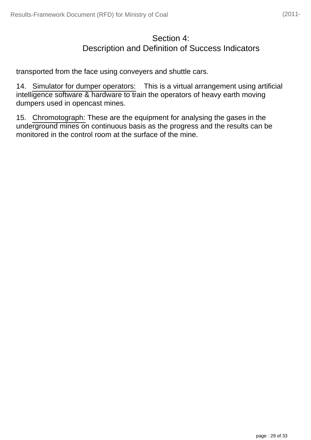transported from the face using conveyers and shuttle cars.

14. Simulator for dumper operators: This is a virtual arrangement using artificial intelligence software & hardware to train the operators of heavy earth moving dumpers used in opencast mines.

15. Chromotograph: These are the equipment for analysing the gases in the underground mines on continuous basis as the progress and the results can be monitored in the control room at the surface of the mine.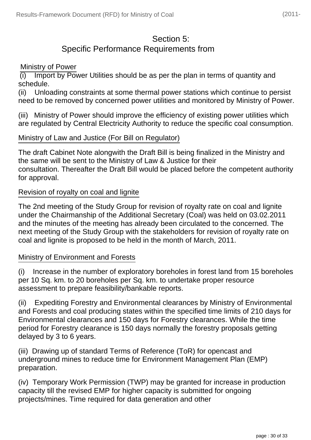## Section 5: Specific Performance Requirements from

#### Ministry of Power

 $(i)$  Import by Power Utilities should be as per the plan in terms of quantity and schedule.

(ii) Unloading constraints at some thermal power stations which continue to persist need to be removed by concerned power utilities and monitored by Ministry of Power.

(iii) Ministry of Power should improve the efficiency of existing power utilities which are regulated by Central Electricity Authority to reduce the specific coal consumption.

## Ministry of Law and Justice (For Bill on Regulator)

The draft Cabinet Note alongwith the Draft Bill is being finalized in the Ministry and the same will be sent to the Ministry of Law & Justice for their consultation. Thereafter the Draft Bill would be placed before the competent authority for approval.

## Revision of royalty on coal and lignite

The 2nd meeting of the Study Group for revision of royalty rate on coal and lignite under the Chairmanship of the Additional Secretary (Coal) was held on 03.02.2011 and the minutes of the meeting has already been circulated to the concerned. The next meeting of the Study Group with the stakeholders for revision of royalty rate on coal and lignite is proposed to be held in the month of March, 2011.

## Ministry of Environment and Forests

(i) Increase in the number of exploratory boreholes in forest land from 15 boreholes per 10 Sq. km. to 20 boreholes per Sq. km. to undertake proper resource assessment to prepare feasibility/bankable reports.

(ii) Expediting Forestry and Environmental clearances by Ministry of Environmental and Forests and coal producing states within the specified time limits of 210 days for Environmental clearances and 150 days for Forestry clearances. While the time period for Forestry clearance is 150 days normally the forestry proposals getting delayed by 3 to 6 years.

(iii) Drawing up of standard Terms of Reference (ToR) for opencast and underground mines to reduce time for Environment Management Plan (EMP) preparation.

(iv) Temporary Work Permission (TWP) may be granted for increase in production capacity till the revised EMP for higher capacity is submitted for ongoing projects/mines. Time required for data generation and other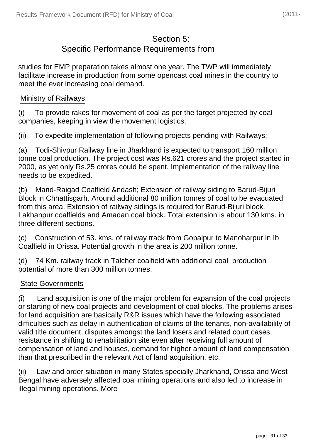## Section 5: Specific Performance Requirements from

studies for EMP preparation takes almost one year. The TWP will immediately facilitate increase in production from some opencast coal mines in the country to meet the ever increasing coal demand.

#### Ministry of Railways

(i) To provide rakes for movement of coal as per the target projected by coal companies, keeping in view the movement logistics.

(ii) To expedite implementation of following projects pending with Railways:

(a) Todi-Shivpur Railway line in Jharkhand is expected to transport 160 million tonne coal production. The project cost was Rs.621 crores and the project started in 2000, as yet only Rs.25 crores could be spent. Implementation of the railway line needs to be expedited.

(b) Mand-Raigad Coalfield – Extension of railway siding to Barud-Bijuri Block in Chhattisgarh. Around additional 80 million tonnes of coal to be evacuated from this area. Extension of railway sidings is required for Barud-Bijuri block, Lakhanpur coalfields and Amadan coal block. Total extension is about 130 kms. in three different sections.

(c) Construction of 53. kms. of railway track from Gopalpur to Manoharpur in Ib Coalfield in Orissa. Potential growth in the area is 200 million tonne.

(d) 74 Km. railway track in Talcher coalfield with additional coal production potential of more than 300 million tonnes.

## State Governments

(i) Land acquisition is one of the major problem for expansion of the coal projects or starting of new coal projects and development of coal blocks. The problems arises for land acquisition are basically R&R issues which have the following associated difficulties such as delay in authentication of claims of the tenants, non-availability of valid title document, disputes amongst the land losers and related court cases, resistance in shifting to rehabilitation site even after receiving full amount of compensation of land and houses, demand for higher amount of land compensation than that prescribed in the relevant Act of land acquisition, etc.

(ii) Law and order situation in many States specially Jharkhand, Orissa and West Bengal have adversely affected coal mining operations and also led to increase in illegal mining operations. More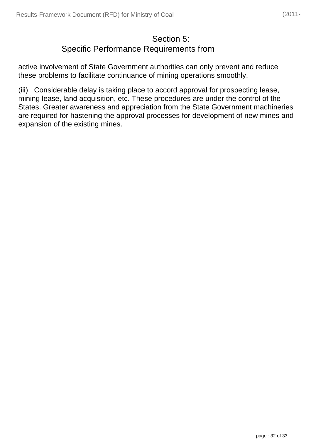## Section 5: Specific Performance Requirements from

active involvement of State Government authorities can only prevent and reduce these problems to facilitate continuance of mining operations smoothly.

(iii) Considerable delay is taking place to accord approval for prospecting lease, mining lease, land acquisition, etc. These procedures are under the control of the States. Greater awareness and appreciation from the State Government machineries are required for hastening the approval processes for development of new mines and expansion of the existing mines.